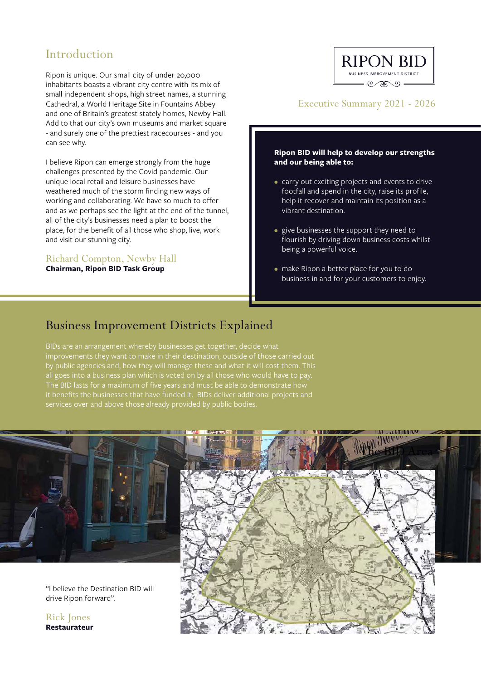# Introduction

Ripon is unique. Our small city of under 20,000 inhabitants boasts a vibrant city centre with its mix of small independent shops, high street names, a stunning Cathedral, a World Heritage Site in Fountains Abbey and one of Britain's greatest stately homes, Newby Hall. Add to that our city's own museums and market square - and surely one of the prettiest racecourses - and you can see why.

I believe Ripon can emerge strongly from the huge challenges presented by the Covid pandemic. Our unique local retail and leisure businesses have weathered much of the storm finding new ways of working and collaborating. We have so much to offer and as we perhaps see the light at the end of the tunnel, all of the city's businesses need a plan to boost the place, for the benefit of all those who shop, live, work and visit our stunning city.

#### Richard Compton, Newby Hall **Chairman, Ripon BID Task Group**

### **RIPON BID BUSINESS IMPROVEMENT DISTRICT**  $=$   $\circledast$   $\circledast$   $\circledast$

### Executive Summary 2021 - 2026

#### **Ripon BID will help to develop our strengths and our being able to:**

- carry out exciting projects and events to drive footfall and spend in the city, raise its profile, help it recover and maintain its position as a vibrant destination.
- give businesses the support they need to flourish by driving down business costs whilst being a powerful voice.
- make Ripon a better place for you to do business in and for your customers to enjoy.

## Business Improvement Districts Explained

BIDs are an arrangement whereby businesses get together, decide what improvements they want to make in their destination, outside of those carried out by public agencies and, how they will manage these and what it will cost them. This all goes into a business plan which is voted on by all those who would have to pay. The BID lasts for a maximum of five years and must be able to demonstrate how it benefits the businesses that have funded it. BIDs deliver additional projects and



**Restaurateur**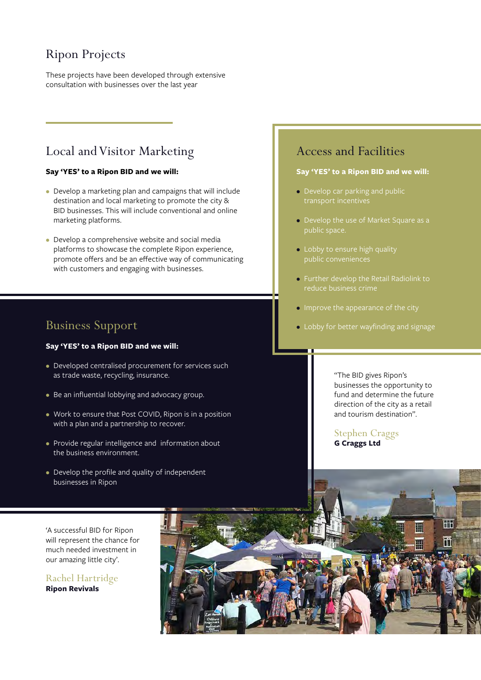# Ripon Projects

These projects have been developed through extensive consultation with businesses over the last year

# Local and Visitor Marketing

#### **Say 'YES' to a Ripon BID and we will:**

- Develop a marketing plan and campaigns that will include destination and local marketing to promote the city & BID businesses. This will include conventional and online marketing platforms.
- Develop a comprehensive website and social media platforms to showcase the complete Ripon experience, promote offers and be an effective way of communicating with customers and engaging with businesses.

### Business Support

#### **Say 'YES' to a Ripon BID and we will:**

- Developed centralised procurement for services such as trade waste, recycling, insurance.
- Be an influential lobbying and advocacy group.
- Work to ensure that Post COVID, Ripon is in a position with a plan and a partnership to recover.
- Provide regular intelligence and information about the business environment.
- Develop the profile and quality of independent businesses in Ripon

### Access and Facilities

#### **Say 'YES' to a Ripon BID and we will:**

- Develop car parking and public
- Develop the use of Market Square as a public space.
- Lobby to ensure high quality public conveniences
- Further develop the Retail Radiolink to reduce business crime
- Improve the appearance of the city
- Lobby for better wayfinding and signage

"The BID gives Ripon's businesses the opportunity to fund and determine the future direction of the city as a retail and tourism destination".

Stephen Craggs **G Craggs Ltd**

'A successful BID for Ripon will represent the chance for much needed investment in our amazing little city'.

Rachel Hartridge **Ripon Revivals**

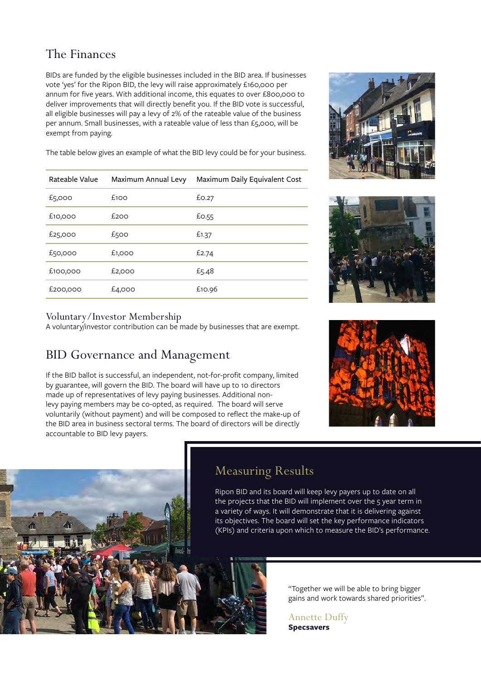# The Finances

BIDs are funded by the eligible businesses included in the BID area. If businesses vote 'yes' for the Ripon BID, the levy will raise approximately £160,000 per annum for five years. With additional income, this equates to over £800,000 to deliver improvements that will directly benefit you. If the BID vote is successful, all eligible businesses will pay a levy of 2% of the rateable value of the business per annum. Small businesses, with a rateable value of less than £5,000, will be exempt from paying.

The table below gives an example of what the BID levy could be for your business.

| Rateable Value | Maximum Annual Levy | Maximum Daily Equivalent Cost |
|----------------|---------------------|-------------------------------|
| £5,000         | £100                | £0.27                         |
| £10,000        | £200                | £0.55                         |
| £25,000        | £500                | £1.37                         |
| £50,000        | £1,000              | £2.74                         |
| £100,000       | £2,000              | £5.48                         |
| £200,000       | £4,000              | £10.96                        |





### Voluntary/Investor Membership

A voluntary/investor contribution can be made by businesses that are exempt.

# BID Governance and Management

If the BID ballot is successful, an independent, not-for-profit company, limited by guarantee, will govern the BID. The board will have up to 10 directors made up of representatives of levy paying businesses. Additional nonlevy paying members may be co-opted, as required. The board will serve voluntarily (without payment) and will be composed to reflect the make-up of the BID area in business sectoral terms. The board of directors will be directly accountable to BID levy payers.





# Measuring Results

Ripon BID and its board will keep levy payers up to date on all the projects that the BID will implement over the 5 year term in a variety of ways. It will demonstrate that it is delivering against its objectives. The board will set the key performance indicators (KPIs) and criteria upon which to measure the BID's performance.

> "Together we will be able to bring bigger gains and work towards shared priorities".

Annette Duffy **Specsavers**